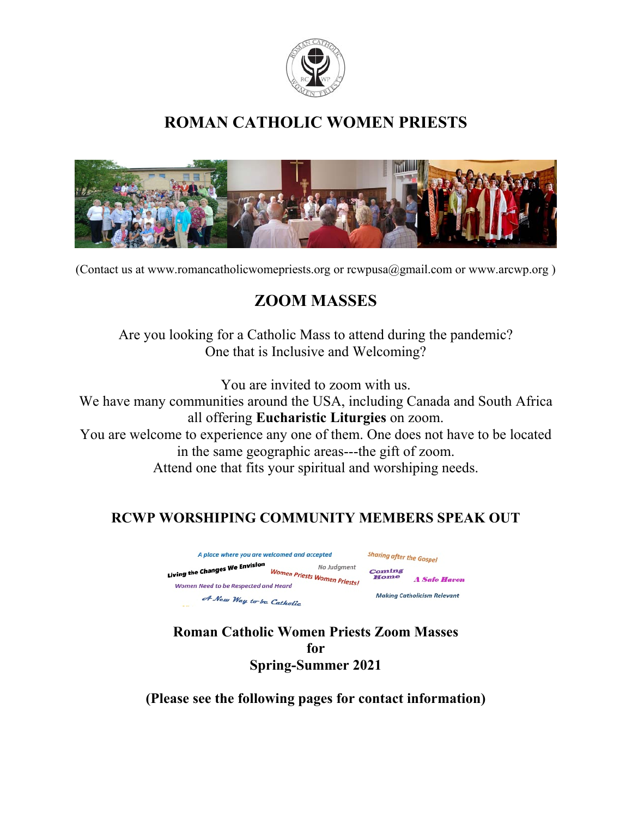

# **ROMAN CATHOLIC WOMEN PRIESTS**



(Contact us at www.romancatholicwomepriests.org or rcwpusa@gmail.com or www.arcwp.org )

# **ZOOM MASSES**

Are you looking for a Catholic Mass to attend during the pandemic? One that is Inclusive and Welcoming?

You are invited to zoom with us.

We have many communities around the USA, including Canada and South Africa all offering **Eucharistic Liturgies** on zoom. You are welcome to experience any one of them. One does not have to be located in the same geographic areas---the gift of zoom.

Attend one that fits your spiritual and worshiping needs.

# **RCWP WORSHIPING COMMUNITY MEMBERS SPEAK OUT**



**Roman Catholic Women Priests Zoom Masses for Spring-Summer 2021** 

**(Please see the following pages for contact information)**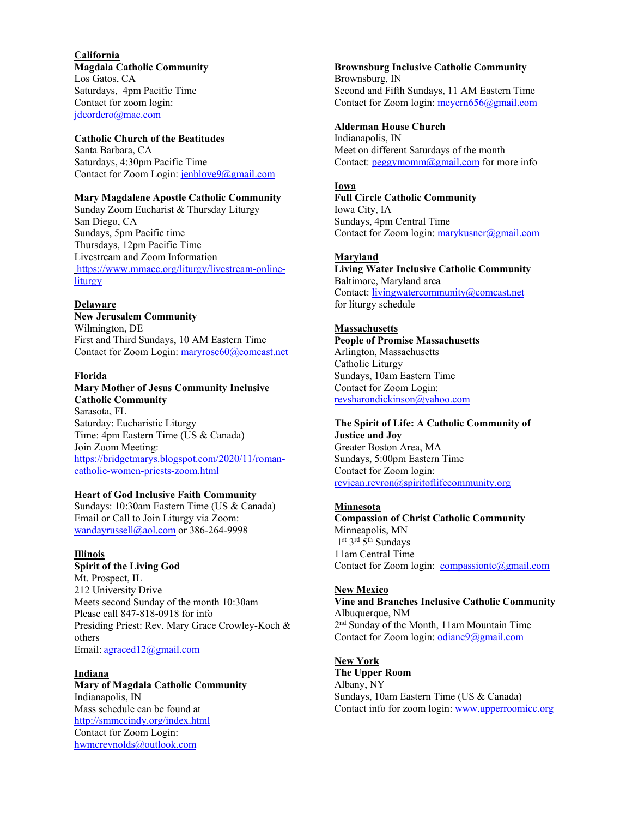**California Magdala Catholic Community**  Los Gatos, CA Saturdays, 4pm Pacific Time Contact for zoom login: jdcordero@mac.com

## **Catholic Church of the Beatitudes**

Santa Barbara, CA Saturdays, 4:30pm Pacific Time Contact for Zoom Login: jenblove9@gmail.com

## **Mary Magdalene Apostle Catholic Community**

Sunday Zoom Eucharist & Thursday Liturgy San Diego, CA Sundays, 5pm Pacific time Thursdays, 12pm Pacific Time Livestream and Zoom Information https://www.mmacc.org/liturgy/livestream-onlineliturgy

# **Delaware**

**New Jerusalem Community**  Wilmington, DE First and Third Sundays, 10 AM Eastern Time

Contact for Zoom Login: maryrose60@comcast.net

## **Florida**

#### **Mary Mother of Jesus Community Inclusive Catholic Community**

Sarasota, FL Saturday: Eucharistic Liturgy Time: 4pm Eastern Time (US & Canada) Join Zoom Meeting: https://bridgetmarys.blogspot.com/2020/11/romancatholic-women-priests-zoom.html

## **Heart of God Inclusive Faith Community**

Sundays: 10:30am Eastern Time (US & Canada) Email or Call to Join Liturgy via Zoom: wandayrussell@aol.com or 386-264-9998

## **Illinois**

# **Spirit of the Living God**

Mt. Prospect, IL 212 University Drive Meets second Sunday of the month 10:30am Please call 847-818-0918 for info Presiding Priest: Rev. Mary Grace Crowley-Koch & others Email: agraced12@gmail.com

## **Indiana**

**Mary of Magdala Catholic Community**  Indianapolis, IN Mass schedule can be found at http://smmccindy.org/index.html Contact for Zoom Login: hwmcreynolds@outlook.com

#### **Brownsburg Inclusive Catholic Community**  Brownsburg, IN Second and Fifth Sundays, 11 AM Eastern Time Contact for Zoom login: meyern656@gmail.com

## **Alderman House Church**

Indianapolis, IN Meet on different Saturdays of the month Contact:  $\text{peggymomm}(\partial \text{gmail.com})$  for more info

## **Iowa**

**Full Circle Catholic Community**  Iowa City, IA Sundays, 4pm Central Time Contact for Zoom login: marykusner@gmail.com

# **Maryland**

**Living Water Inclusive Catholic Community**  Baltimore, Maryland area Contact: livingwatercommunity@comcast.net for liturgy schedule

## **Massachusetts**

**People of Promise Massachusetts**  Arlington, Massachusetts Catholic Liturgy Sundays, 10am Eastern Time Contact for Zoom Login: revsharondickinson@yahoo.com

#### **The Spirit of Life: A Catholic Community of Justice and Joy**

Greater Boston Area, MA Sundays, 5:00pm Eastern Time Contact for Zoom login: revjean.revron@spiritoflifecommunity.org

#### **Minnesota**

**Compassion of Christ Catholic Community**  Minneapolis, MN  $1<sup>st</sup> 3<sup>rd</sup> 5<sup>th</sup> Sundavs$ 11am Central Time Contact for Zoom login: compassiontc@gmail.com

## **New Mexico**

**Vine and Branches Inclusive Catholic Community**  Albuquerque, NM 2nd Sunday of the Month, 11am Mountain Time Contact for Zoom login: odiane9@gmail.com

**New York The Upper Room**  Albany, NY Sundays, 10am Eastern Time (US & Canada) Contact info for zoom login: www.upperroomicc.org